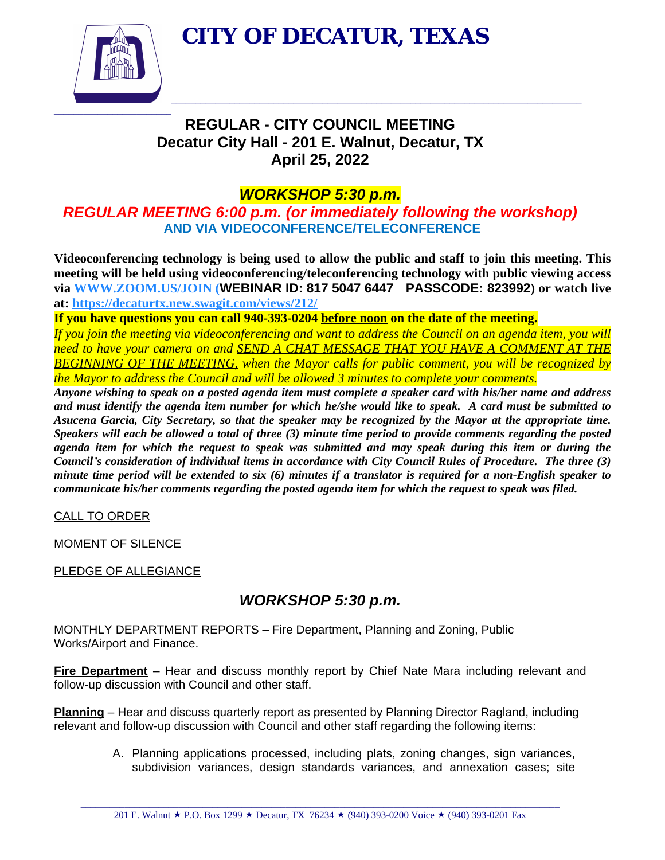**CITY OF DECATUR, TEXAS**

 $\_$  , and the set of the set of the set of the set of the set of the set of the set of the set of the set of the set of the set of the set of the set of the set of the set of the set of the set of the set of the set of th



# **REGULAR - CITY COUNCIL MEETING Decatur City Hall - 201 E. Walnut, Decatur, TX April 25, 2022**

### *WORKSHOP 5:30 p.m.*

*REGULAR MEETING 6:00 p.m. (or immediately following the workshop)*  **AND VIA VIDEOCONFERENCE/TELECONFERENCE**

**Videoconferencing technology is being used to allow the public and staff to join this meeting. This meeting will be held using videoconferencing/teleconferencing technology with public viewing access via [WWW.ZOOM.US/JOIN](http://WWW.ZOOM.US/JOIN) (WEBINAR ID: 817 5047 6447 PASSCODE: 823992) or watch live at: <https://decaturtx.new.swagit.com/views/212/>**

**If you have questions you can call 940-393-0204 before noon on the date of the meeting.**

If you join the meeting via videoconferencing and want to address the Council on an agenda item, you will *need to have your camera on and SEND A CHAT MESSAGE THAT YOU HAVE A COMMENT AT THE BEGINNING OF THE MEETING, when the Mayor calls for public comment, you will be recognized by the Mayor to address the Council and will be allowed 3 minutes to complete your comments.*

Anyone wishing to speak on a posted agenda item must complete a speaker card with his/her name and address and must identify the agenda item number for which he/she would like to speak. A card must be submitted to Asucena Garcia, City Secretary, so that the speaker may be recognized by the Mayor at the appropriate time. Speakers will each be allowed a total of three (3) minute time period to provide comments regarding the posted agenda item for which the request to speak was submitted and may speak during this item or during the Council's consideration of individual items in accordance with City Council Rules of Procedure. The three (3) minute time period will be extended to six (6) minutes if a translator is required for a non-English speaker to *communicate his/her comments regarding the posted agenda item for which the request to speak was filed.*

CALL TO ORDER

MOMENT OF SILENCE

PLEDGE OF ALLEGIANCE

## *WORKSHOP 5:30 p.m.*

MONTHLY DEPARTMENT REPORTS – Fire Department, Planning and Zoning, Public Works/Airport and Finance.

**Fire Department** – Hear and discuss monthly report by Chief Nate Mara including relevant and follow-up discussion with Council and other staff.

**Planning** – Hear and discuss quarterly report as presented by Planning Director Ragland, including relevant and follow-up discussion with Council and other staff regarding the following items:

> A. Planning applications processed, including plats, zoning changes, sign variances, subdivision variances, design standards variances, and annexation cases; site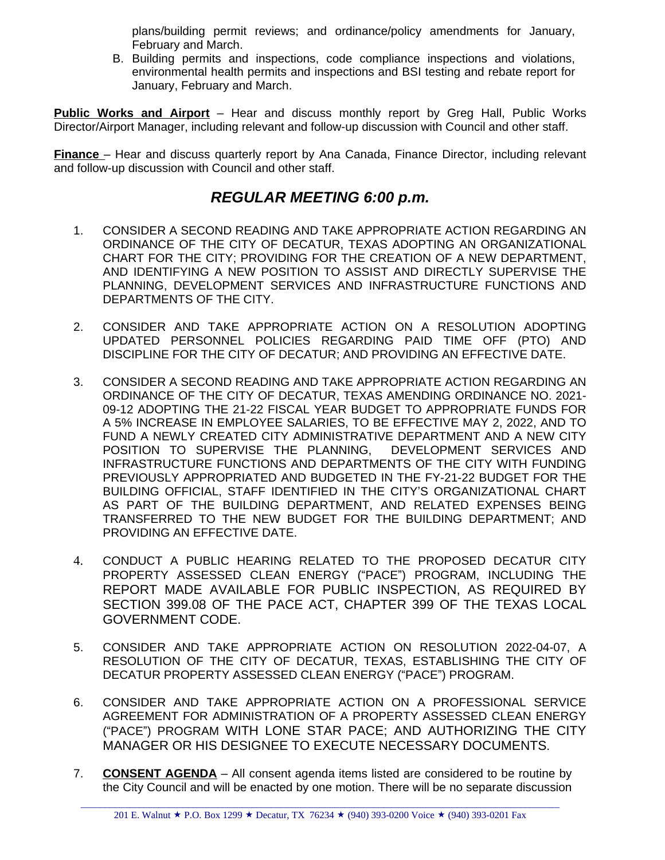plans/building permit reviews; and ordinance/policy amendments for January, February and March.

B. Building permits and inspections, code compliance inspections and violations, environmental health permits and inspections and BSI testing and rebate report for January, February and March.

**Public Works and Airport** – Hear and discuss monthly report by Greg Hall, Public Works Director/Airport Manager, including relevant and follow-up discussion with Council and other staff.

**Finance** – Hear and discuss quarterly report by Ana Canada, Finance Director, including relevant and follow-up discussion with Council and other staff.

#### *REGULAR MEETING 6:00 p.m.*

- 1. CONSIDER A SECOND READING AND TAKE APPROPRIATE ACTION REGARDING AN ORDINANCE OF THE CITY OF DECATUR, TEXAS ADOPTING AN ORGANIZATIONAL CHART FOR THE CITY; PROVIDING FOR THE CREATION OF A NEW DEPARTMENT, AND IDENTIFYING A NEW POSITION TO ASSIST AND DIRECTLY SUPERVISE THE PLANNING, DEVELOPMENT SERVICES AND INFRASTRUCTURE FUNCTIONS AND DEPARTMENTS OF THE CITY.
- 2. CONSIDER AND TAKE APPROPRIATE ACTION ON A RESOLUTION ADOPTING UPDATED PERSONNEL POLICIES REGARDING PAID TIME OFF (PTO) AND DISCIPLINE FOR THE CITY OF DECATUR; AND PROVIDING AN EFFECTIVE DATE.
- 3. CONSIDER A SECOND READING AND TAKE APPROPRIATE ACTION REGARDING AN ORDINANCE OF THE CITY OF DECATUR, TEXAS AMENDING ORDINANCE NO. 2021- 09-12 ADOPTING THE 21-22 FISCAL YEAR BUDGET TO APPROPRIATE FUNDS FOR A 5% INCREASE IN EMPLOYEE SALARIES, TO BE EFFECTIVE MAY 2, 2022, AND TO FUND A NEWLY CREATED CITY ADMINISTRATIVE DEPARTMENT AND A NEW CITY POSITION TO SUPERVISE THE PLANNING, DEVELOPMENT SERVICES AND INFRASTRUCTURE FUNCTIONS AND DEPARTMENTS OF THE CITY WITH FUNDING PREVIOUSLY APPROPRIATED AND BUDGETED IN THE FY-21-22 BUDGET FOR THE BUILDING OFFICIAL, STAFF IDENTIFIED IN THE CITY'S ORGANIZATIONAL CHART AS PART OF THE BUILDING DEPARTMENT, AND RELATED EXPENSES BEING TRANSFERRED TO THE NEW BUDGET FOR THE BUILDING DEPARTMENT; AND PROVIDING AN EFFECTIVE DATE.
- 4. CONDUCT A PUBLIC HEARING RELATED TO THE PROPOSED DECATUR CITY PROPERTY ASSESSED CLEAN ENERGY ("PACE") PROGRAM, INCLUDING THE REPORT MADE AVAILABLE FOR PUBLIC INSPECTION, AS REQUIRED BY SECTION 399.08 OF THE PACE ACT, CHAPTER 399 OF THE TEXAS LOCAL GOVERNMENT CODE.
- 5. CONSIDER AND TAKE APPROPRIATE ACTION ON RESOLUTION 2022-04-07, A RESOLUTION OF THE CITY OF DECATUR, TEXAS, ESTABLISHING THE CITY OF DECATUR PROPERTY ASSESSED CLEAN ENERGY ("PACE") PROGRAM.
- 6. CONSIDER AND TAKE APPROPRIATE ACTION ON A PROFESSIONAL SERVICE AGREEMENT FOR ADMINISTRATION OF A PROPERTY ASSESSED CLEAN ENERGY ("PACE") PROGRAM WITH LONE STAR PACE; AND AUTHORIZING THE CITY MANAGER OR HIS DESIGNEE TO EXECUTE NECESSARY DOCUMENTS.
- 7. **CONSENT AGENDA** All consent agenda items listed are considered to be routine by the City Council and will be enacted by one motion. There will be no separate discussion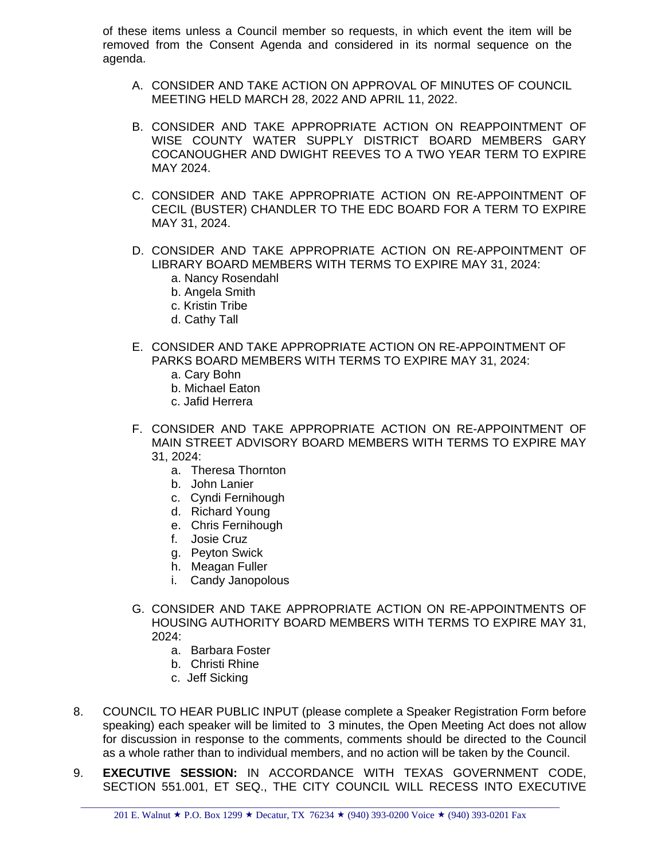of these items unless a Council member so requests, in which event the item will be removed from the Consent Agenda and considered in its normal sequence on the agenda.

- A. CONSIDER AND TAKE ACTION ON APPROVAL OF MINUTES OF COUNCIL MEETING HELD MARCH 28, 2022 AND APRIL 11, 2022.
- B. CONSIDER AND TAKE APPROPRIATE ACTION ON REAPPOINTMENT OF WISE COUNTY WATER SUPPLY DISTRICT BOARD MEMBERS GARY COCANOUGHER AND DWIGHT REEVES TO A TWO YEAR TERM TO EXPIRE MAY 2024.
- C. CONSIDER AND TAKE APPROPRIATE ACTION ON RE-APPOINTMENT OF CECIL (BUSTER) CHANDLER TO THE EDC BOARD FOR A TERM TO EXPIRE MAY 31, 2024.
- D. CONSIDER AND TAKE APPROPRIATE ACTION ON RE-APPOINTMENT OF LIBRARY BOARD MEMBERS WITH TERMS TO EXPIRE MAY 31, 2024:
	- a. Nancy Rosendahl
	- b. Angela Smith
	- c. Kristin Tribe
	- d. Cathy Tall
- E. CONSIDER AND TAKE APPROPRIATE ACTION ON RE-APPOINTMENT OF PARKS BOARD MEMBERS WITH TERMS TO EXPIRE MAY 31, 2024:
	- a. Cary Bohn
	- b. Michael Eaton
	- c. Jafid Herrera
- F. CONSIDER AND TAKE APPROPRIATE ACTION ON RE-APPOINTMENT OF MAIN STREET ADVISORY BOARD MEMBERS WITH TERMS TO EXPIRE MAY 31, 2024:
	- a. Theresa Thornton
	- b. John Lanier
	- c. Cyndi Fernihough
	- d. Richard Young
	- e. Chris Fernihough
	- f. Josie Cruz
	- g. Peyton Swick
	- h. Meagan Fuller
	- i. Candy Janopolous
- G. CONSIDER AND TAKE APPROPRIATE ACTION ON RE-APPOINTMENTS OF HOUSING AUTHORITY BOARD MEMBERS WITH TERMS TO EXPIRE MAY 31, 2024:
	- a. Barbara Foster
	- b. Christi Rhine
	- c. Jeff Sicking
- 8. COUNCIL TO HEAR PUBLIC INPUT (please complete a Speaker Registration Form before speaking) each speaker will be limited to 3 minutes, the Open Meeting Act does not allow for discussion in response to the comments, comments should be directed to the Council as a whole rather than to individual members, and no action will be taken by the Council.
- 9. **EXECUTIVE SESSION:** IN ACCORDANCE WITH TEXAS GOVERNMENT CODE, SECTION 551.001, ET SEQ., THE CITY COUNCIL WILL RECESS INTO EXECUTIVE